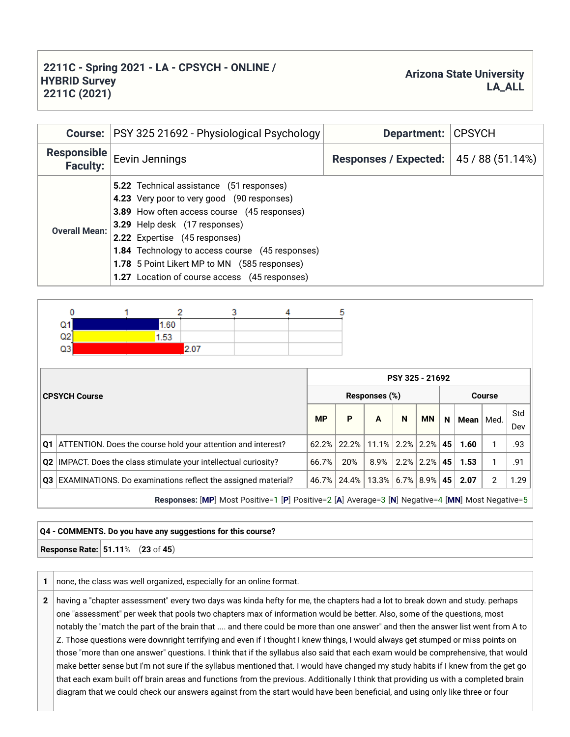## **2211C - Spring 2021 - LA - CPSYCH - ONLINE / HYBRID Survey 2211C (2021)**

| <b>Course:</b>                        | PSY 325 21692 - Physiological Psychology                                                                                                                                                                                                                                                                                                                           | Department:                  | <b>CPSYCH</b>    |  |  |
|---------------------------------------|--------------------------------------------------------------------------------------------------------------------------------------------------------------------------------------------------------------------------------------------------------------------------------------------------------------------------------------------------------------------|------------------------------|------------------|--|--|
| <b>Responsible</b><br><b>Faculty:</b> | Eevin Jennings                                                                                                                                                                                                                                                                                                                                                     | <b>Responses / Expected:</b> | 45 / 88 (51.14%) |  |  |
| <b>Overall Mean:</b>                  | <b>5.22</b> Technical assistance (51 responses)<br>4.23 Very poor to very good (90 responses)<br>3.89 How often access course (45 responses)<br>3.29 Help desk (17 responses)<br>2.22 Expertise (45 responses)<br>1.84 Technology to access course (45 responses)<br>1.78 5 Point Likert MP to MN (585 responses)<br>1.27 Location of course access (45 responses) |                              |                  |  |  |
|                                       |                                                                                                                                                                                                                                                                                                                                                                    |                              |                  |  |  |

Δ

5

| Q1<br>Q2<br>Q3                                                            | 1.60<br>1.53 | 2.07 |                                                                                                  |           |                                |                        |                 |           |      |      |      |            |
|---------------------------------------------------------------------------|--------------|------|--------------------------------------------------------------------------------------------------|-----------|--------------------------------|------------------------|-----------------|-----------|------|------|------|------------|
|                                                                           |              |      |                                                                                                  |           |                                |                        | PSY 325 - 21692 |           |      |      |      |            |
| <b>CPSYCH Course</b>                                                      |              |      |                                                                                                  |           | Responses (%)<br><b>Course</b> |                        |                 |           |      |      |      |            |
|                                                                           |              |      |                                                                                                  | <b>MP</b> | P                              | A                      | N               | <b>MN</b> | N.   | Mean | Med. | Std<br>Dev |
| Q1   ATTENTION. Does the course hold your attention and interest?         |              |      |                                                                                                  | 62.2%     | 22.2%                          | $11.1\%$   2.2%   2.2% |                 |           | 45   | 1.60 |      | .93        |
| <b>Q2</b>   IMPACT. Does the class stimulate your intellectual curiosity? |              |      | 66.7%                                                                                            | 20%       | 8.9%                           | $ 2.2\% 2.2\% $        |                 | 45        | 1.53 |      | .91  |            |
| Q3 EXAMINATIONS. Do examinations reflect the assigned material?           |              |      |                                                                                                  |           | 46.7% 24.4%                    | $13.3\%$   6.7%   8.9% |                 |           | 45   | 2.07 | 2    | 1.29       |
|                                                                           |              |      | Responses: [MP] Most Positive=1 [P] Positive=2 [A] Average=3 [N] Negative=4 [MN] Most Negative=5 |           |                                |                        |                 |           |      |      |      |            |

## **Q4 - COMMENTS. Do you have any suggestions for this course?**

**Response Rate: 51.11**% (**23** of **45**)

0

**1** | none, the class was well organized, especially for an online format.

 $\overline{2}$ 

1

3

**2** having a "chapter assessment" every two days was kinda hefty for me, the chapters had a lot to break down and study. perhaps one "assessment" per week that pools two chapters max of information would be better. Also, some of the questions, most notably the "match the part of the brain that .... and there could be more than one answer" and then the answer list went from A to Z. Those questions were downright terrifying and even if I thought I knew things, I would always get stumped or miss points on those "more than one answer" questions. I think that if the syllabus also said that each exam would be comprehensive, that would make better sense but I'm not sure if the syllabus mentioned that. I would have changed my study habits if I knew from the get go that each exam built off brain areas and functions from the previous. Additionally I think that providing us with a completed brain diagram that we could check our answers against from the start would have been beneficial, and using only like three or four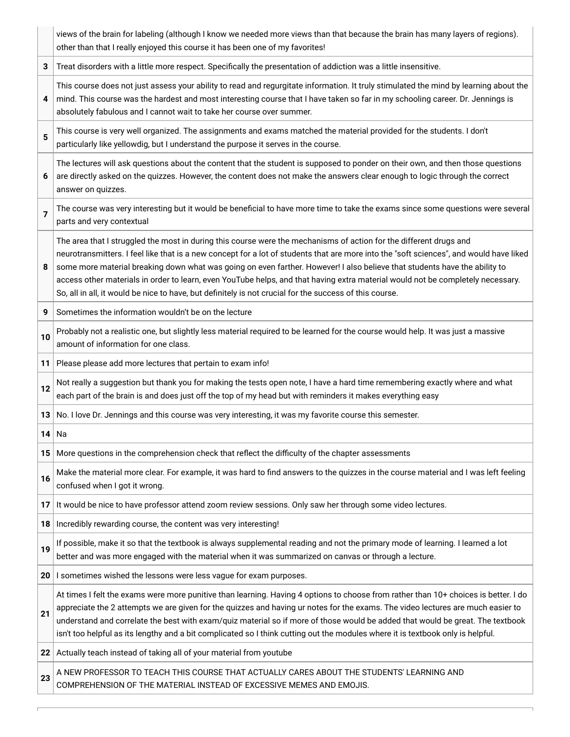|                | views of the brain for labeling (although I know we needed more views than that because the brain has many layers of regions).<br>other than that I really enjoyed this course it has been one of my favorites!                                                                                                                                                                                                                                                                                                                                                                                                                           |
|----------------|-------------------------------------------------------------------------------------------------------------------------------------------------------------------------------------------------------------------------------------------------------------------------------------------------------------------------------------------------------------------------------------------------------------------------------------------------------------------------------------------------------------------------------------------------------------------------------------------------------------------------------------------|
| 3              | Treat disorders with a little more respect. Specifically the presentation of addiction was a little insensitive.                                                                                                                                                                                                                                                                                                                                                                                                                                                                                                                          |
| 4              | This course does not just assess your ability to read and regurgitate information. It truly stimulated the mind by learning about the<br>mind. This course was the hardest and most interesting course that I have taken so far in my schooling career. Dr. Jennings is<br>absolutely fabulous and I cannot wait to take her course over summer.                                                                                                                                                                                                                                                                                          |
| 5              | This course is very well organized. The assignments and exams matched the material provided for the students. I don't<br>particularly like yellowdig, but I understand the purpose it serves in the course.                                                                                                                                                                                                                                                                                                                                                                                                                               |
| 6              | The lectures will ask questions about the content that the student is supposed to ponder on their own, and then those questions<br>are directly asked on the quizzes. However, the content does not make the answers clear enough to logic through the correct<br>answer on quizzes.                                                                                                                                                                                                                                                                                                                                                      |
| $\overline{7}$ | The course was very interesting but it would be beneficial to have more time to take the exams since some questions were several<br>parts and very contextual                                                                                                                                                                                                                                                                                                                                                                                                                                                                             |
| 8              | The area that I struggled the most in during this course were the mechanisms of action for the different drugs and<br>neurotransmitters. I feel like that is a new concept for a lot of students that are more into the "soft sciences", and would have liked<br>some more material breaking down what was going on even farther. However! I also believe that students have the ability to<br>access other materials in order to learn, even YouTube helps, and that having extra material would not be completely necessary.<br>So, all in all, it would be nice to have, but definitely is not crucial for the success of this course. |
| 9              | Sometimes the information wouldn't be on the lecture                                                                                                                                                                                                                                                                                                                                                                                                                                                                                                                                                                                      |
| 10             | Probably not a realistic one, but slightly less material required to be learned for the course would help. It was just a massive<br>amount of information for one class.                                                                                                                                                                                                                                                                                                                                                                                                                                                                  |
| 11             | Please please add more lectures that pertain to exam info!                                                                                                                                                                                                                                                                                                                                                                                                                                                                                                                                                                                |
| 12             | Not really a suggestion but thank you for making the tests open note, I have a hard time remembering exactly where and what<br>each part of the brain is and does just off the top of my head but with reminders it makes everything easy                                                                                                                                                                                                                                                                                                                                                                                                 |
| 13             | No. I love Dr. Jennings and this course was very interesting, it was my favorite course this semester.                                                                                                                                                                                                                                                                                                                                                                                                                                                                                                                                    |
| 14             | Na                                                                                                                                                                                                                                                                                                                                                                                                                                                                                                                                                                                                                                        |
| 15             | More questions in the comprehension check that reflect the difficulty of the chapter assessments                                                                                                                                                                                                                                                                                                                                                                                                                                                                                                                                          |
| 16             | Make the material more clear. For example, it was hard to find answers to the quizzes in the course material and I was left feeling<br>confused when I got it wrong.                                                                                                                                                                                                                                                                                                                                                                                                                                                                      |
| 17             | It would be nice to have professor attend zoom review sessions. Only saw her through some video lectures.                                                                                                                                                                                                                                                                                                                                                                                                                                                                                                                                 |
| 18             | Incredibly rewarding course, the content was very interesting!                                                                                                                                                                                                                                                                                                                                                                                                                                                                                                                                                                            |
| 19             | If possible, make it so that the textbook is always supplemental reading and not the primary mode of learning. I learned a lot<br>better and was more engaged with the material when it was summarized on canvas or through a lecture.                                                                                                                                                                                                                                                                                                                                                                                                    |
| 20             | I sometimes wished the lessons were less vague for exam purposes.                                                                                                                                                                                                                                                                                                                                                                                                                                                                                                                                                                         |
| 21             | At times I felt the exams were more punitive than learning. Having 4 options to choose from rather than 10+ choices is better. I do<br>appreciate the 2 attempts we are given for the quizzes and having ur notes for the exams. The video lectures are much easier to<br>understand and correlate the best with exam/quiz material so if more of those would be added that would be great. The textbook<br>isn't too helpful as its lengthy and a bit complicated so I think cutting out the modules where it is textbook only is helpful.                                                                                               |
| 22             | Actually teach instead of taking all of your material from youtube                                                                                                                                                                                                                                                                                                                                                                                                                                                                                                                                                                        |
| 23             | A NEW PROFESSOR TO TEACH THIS COURSE THAT ACTUALLY CARES ABOUT THE STUDENTS' LEARNING AND<br>COMPREHENSION OF THE MATERIAL INSTEAD OF EXCESSIVE MEMES AND EMOJIS.                                                                                                                                                                                                                                                                                                                                                                                                                                                                         |

Е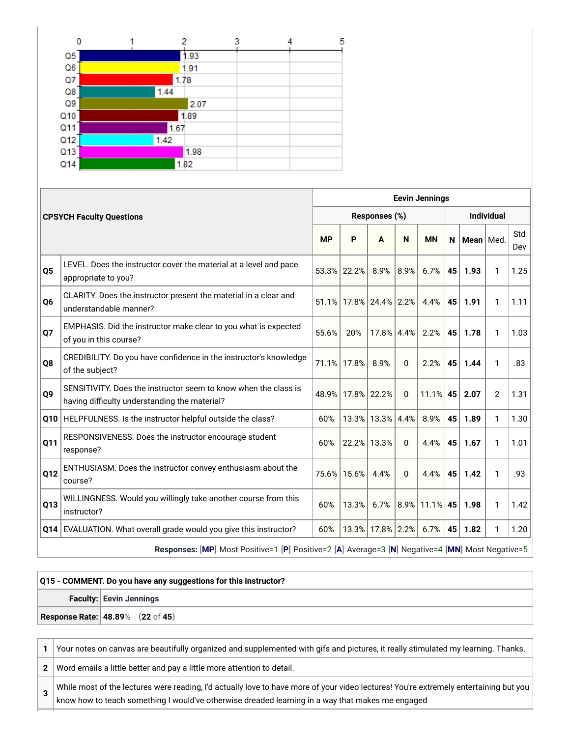| 0               | 2    | 3    | 5 |
|-----------------|------|------|---|
| Q5              |      | 1.93 |   |
| Q6              |      | 1.91 |   |
| $Q$ 7           | 1.78 |      |   |
| Q8              | 1.44 |      |   |
| Q9              |      | 2.07 |   |
| Q <sub>10</sub> |      | 1.89 |   |
| Q <sub>11</sub> | 1.67 |      |   |
| Q12             | 1.42 |      |   |
| Q13             |      | 1.98 |   |
| Q14             | 1.82 |      |   |

|                |                                                                                                                  |           | <b>Eevin Jennings</b> |                        |          |           |    |             |            |            |  |  |
|----------------|------------------------------------------------------------------------------------------------------------------|-----------|-----------------------|------------------------|----------|-----------|----|-------------|------------|------------|--|--|
|                | <b>CPSYCH Faculty Questions</b>                                                                                  |           |                       | Responses (%)          |          |           |    |             | Individual |            |  |  |
|                |                                                                                                                  | <b>MP</b> | P                     | A                      | N        | <b>MN</b> | N  | Mean   Med. |            | Std<br>Dev |  |  |
| Q <sub>5</sub> | LEVEL. Does the instructor cover the material at a level and pace<br>appropriate to you?                         |           | 53.3% 22.2%           | 8.9%                   | 8.9%     | 6.7%      | 45 | 1.93        | 1          | 1.25       |  |  |
| Q6             | CLARITY. Does the instructor present the material in a clear and<br>understandable manner?                       |           |                       | 51.1% 17.8% 24.4% 2.2% |          | 4.4%      | 45 | 1.91        | 1          | 1.11       |  |  |
| Q7             | EMPHASIS. Did the instructor make clear to you what is expected<br>of you in this course?                        | 55.6%     | 20%                   | 17.8% 4.4%             |          | 2.2%      | 45 | 1.78        | 1          | 1.03       |  |  |
| Q8             | CREDIBILITY. Do you have confidence in the instructor's knowledge<br>of the subject?                             |           | 71.1% 17.8%           | 8.9%                   | $\Omega$ | 2.2%      | 45 | 1.44        | 1          | .83        |  |  |
| Q9             | SENSITIVITY. Does the instructor seem to know when the class is<br>having difficulty understanding the material? | 48.9%     | 17.8%                 | 22.2%                  | 0        | 11.1%     | 45 | 2.07        | 2          | 1.31       |  |  |
|                | Q10 HELPFULNESS. Is the instructor helpful outside the class?                                                    | 60%       | 13.3%                 | 13.3%                  | 4.4%     | 8.9%      | 45 | 1.89        | 1          | 1.30       |  |  |
| Q11            | RESPONSIVENESS. Does the instructor encourage student<br>response?                                               | 60%       | 22.2%                 | 13.3%                  | $\Omega$ | 4.4%      | 45 | 1.67        | 1          | 1.01       |  |  |
| Q12            | ENTHUSIASM. Does the instructor convey enthusiasm about the<br>course?                                           |           | 75.6% 15.6%           | 4.4%                   | $\Omega$ | 4.4%      | 45 | 1.42        | 1          | .93        |  |  |
| Q13            | WILLINGNESS. Would you willingly take another course from this<br>instructor?                                    | 60%       | 13.3%                 | 6.7%                   | 8.9%     | 11.1%     | 45 | 1.98        | 1          | 1.42       |  |  |
|                | Q14 EVALUATION. What overall grade would you give this instructor?                                               | 60%       | 13.3%                 | 17.8% 2.2%             |          | 6.7%      | 45 | 1.82        | 1          | 1.20       |  |  |
|                | Responses: [MP] Most Positive=1 [P] Positive=2 [A] Average=3 [N] Negative=4 [MN] Most Negative=5                 |           |                       |                        |          |           |    |             |            |            |  |  |

## **Q15 - COMMENT. Do you have any suggestions for this instructor? Faculty: Eevin Jennings Response Rate: 48.89**% (**22** of **45**)

**1** Your notes on canvas are beautifully organized and supplemented with gifs and pictures, it really stimulated my learning. Thanks. **2** Word emails a little better and pay a little more attention to detail. **3** While most of the lectures were reading, I'd actually love to have more of your video lectures! You're extremely entertaining but you know how to teach something I would've otherwise dreaded learning in a way that makes me engaged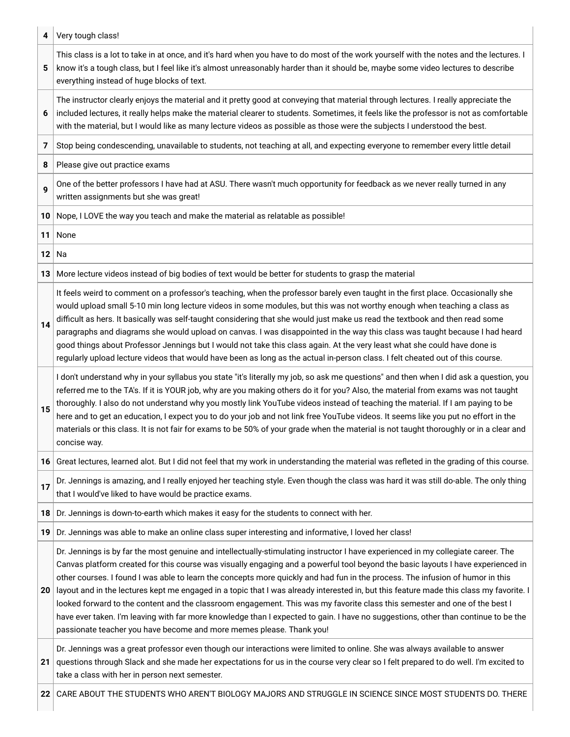| 4  | Very tough class!                                                                                                                                                                                                                                                                                                                                                                                                                                                                                                                                                                                                                                                                                                                                                                                                                                                                              |
|----|------------------------------------------------------------------------------------------------------------------------------------------------------------------------------------------------------------------------------------------------------------------------------------------------------------------------------------------------------------------------------------------------------------------------------------------------------------------------------------------------------------------------------------------------------------------------------------------------------------------------------------------------------------------------------------------------------------------------------------------------------------------------------------------------------------------------------------------------------------------------------------------------|
| 5  | This class is a lot to take in at once, and it's hard when you have to do most of the work yourself with the notes and the lectures. I<br>know it's a tough class, but I feel like it's almost unreasonably harder than it should be, maybe some video lectures to describe<br>everything instead of huge blocks of text.                                                                                                                                                                                                                                                                                                                                                                                                                                                                                                                                                                      |
| 6  | The instructor clearly enjoys the material and it pretty good at conveying that material through lectures. I really appreciate the<br>included lectures, it really helps make the material clearer to students. Sometimes, it feels like the professor is not as comfortable<br>with the material, but I would like as many lecture videos as possible as those were the subjects I understood the best.                                                                                                                                                                                                                                                                                                                                                                                                                                                                                       |
| 7  | Stop being condescending, unavailable to students, not teaching at all, and expecting everyone to remember every little detail                                                                                                                                                                                                                                                                                                                                                                                                                                                                                                                                                                                                                                                                                                                                                                 |
| 8  | Please give out practice exams                                                                                                                                                                                                                                                                                                                                                                                                                                                                                                                                                                                                                                                                                                                                                                                                                                                                 |
| 9  | One of the better professors I have had at ASU. There wasn't much opportunity for feedback as we never really turned in any<br>written assignments but she was great!                                                                                                                                                                                                                                                                                                                                                                                                                                                                                                                                                                                                                                                                                                                          |
| 10 | Nope, I LOVE the way you teach and make the material as relatable as possible!                                                                                                                                                                                                                                                                                                                                                                                                                                                                                                                                                                                                                                                                                                                                                                                                                 |
| 11 | None                                                                                                                                                                                                                                                                                                                                                                                                                                                                                                                                                                                                                                                                                                                                                                                                                                                                                           |
| 12 | Na                                                                                                                                                                                                                                                                                                                                                                                                                                                                                                                                                                                                                                                                                                                                                                                                                                                                                             |
| 13 | More lecture videos instead of big bodies of text would be better for students to grasp the material                                                                                                                                                                                                                                                                                                                                                                                                                                                                                                                                                                                                                                                                                                                                                                                           |
| 14 | It feels weird to comment on a professor's teaching, when the professor barely even taught in the first place. Occasionally she<br>would upload small 5-10 min long lecture videos in some modules, but this was not worthy enough when teaching a class as<br>difficult as hers. It basically was self-taught considering that she would just make us read the textbook and then read some<br>paragraphs and diagrams she would upload on canvas. I was disappointed in the way this class was taught because I had heard<br>good things about Professor Jennings but I would not take this class again. At the very least what she could have done is<br>regularly upload lecture videos that would have been as long as the actual in-person class. I felt cheated out of this course.                                                                                                      |
| 15 | I don't understand why in your syllabus you state "it's literally my job, so ask me questions" and then when I did ask a question, you<br>referred me to the TA's. If it is YOUR job, why are you making others do it for you? Also, the material from exams was not taught<br>thoroughly. I also do not understand why you mostly link YouTube videos instead of teaching the material. If I am paying to be<br>here and to get an education, I expect you to do your job and not link free YouTube videos. It seems like you put no effort in the<br>materials or this class. It is not fair for exams to be 50% of your grade when the material is not taught thoroughly or in a clear and<br>concise way.                                                                                                                                                                                  |
| 16 | Great lectures, learned alot. But I did not feel that my work in understanding the material was refleted in the grading of this course.                                                                                                                                                                                                                                                                                                                                                                                                                                                                                                                                                                                                                                                                                                                                                        |
| 17 | Dr. Jennings is amazing, and I really enjoyed her teaching style. Even though the class was hard it was still do-able. The only thing<br>that I would've liked to have would be practice exams.                                                                                                                                                                                                                                                                                                                                                                                                                                                                                                                                                                                                                                                                                                |
| 18 | Dr. Jennings is down-to-earth which makes it easy for the students to connect with her.                                                                                                                                                                                                                                                                                                                                                                                                                                                                                                                                                                                                                                                                                                                                                                                                        |
| 19 | Dr. Jennings was able to make an online class super interesting and informative, I loved her class!                                                                                                                                                                                                                                                                                                                                                                                                                                                                                                                                                                                                                                                                                                                                                                                            |
| 20 | Dr. Jennings is by far the most genuine and intellectually-stimulating instructor I have experienced in my collegiate career. The<br>Canvas platform created for this course was visually engaging and a powerful tool beyond the basic layouts I have experienced in<br>other courses. I found I was able to learn the concepts more quickly and had fun in the process. The infusion of humor in this<br>layout and in the lectures kept me engaged in a topic that I was already interested in, but this feature made this class my favorite. I<br>looked forward to the content and the classroom engagement. This was my favorite class this semester and one of the best I<br>have ever taken. I'm leaving with far more knowledge than I expected to gain. I have no suggestions, other than continue to be the<br>passionate teacher you have become and more memes please. Thank you! |
| 21 | Dr. Jennings was a great professor even though our interactions were limited to online. She was always available to answer<br>questions through Slack and she made her expectations for us in the course very clear so I felt prepared to do well. I'm excited to<br>take a class with her in person next semester.                                                                                                                                                                                                                                                                                                                                                                                                                                                                                                                                                                            |
| 22 | CARE ABOUT THE STUDENTS WHO AREN'T BIOLOGY MAJORS AND STRUGGLE IN SCIENCE SINCE MOST STUDENTS DO. THERE                                                                                                                                                                                                                                                                                                                                                                                                                                                                                                                                                                                                                                                                                                                                                                                        |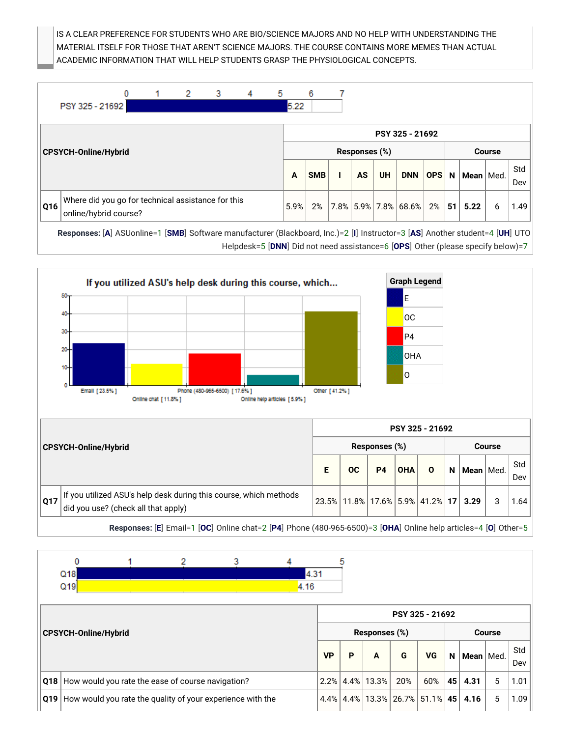IS A CLEAR PREFERENCE FOR STUDENTS WHO ARE BIO/SCIENCE MAJORS AND NO HELP WITH UNDERSTANDING THE MATERIAL ITSELF FOR THOSE THAT AREN'T SCIENCE MAJORS. THE COURSE CONTAINS MORE MEMES THAN ACTUAL ACADEMIC INFORMATION THAT WILL HELP STUDENTS GRASP THE PHYSIOLOGICAL CONCEPTS.



Helpdesk=5 [**DNN**] Did not need assistance=6 [**OPS**] Other (please specify below)=7



**Responses:** [**E**] Email=1 [**OC**] Online chat=2 [**P4**] Phone (480-965-6500)=3 [**OHA**] Online help articles=4 [**O**] Other=5

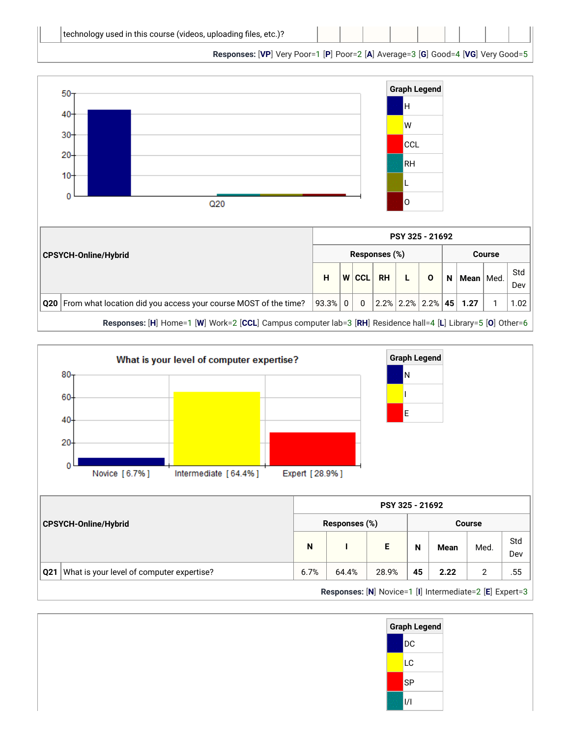**Responses:** [**VP**] Very Poor=1 [**P**] Poor=2 [**A**] Average=3 [**G**] Good=4 [**VG**] Very Good=5





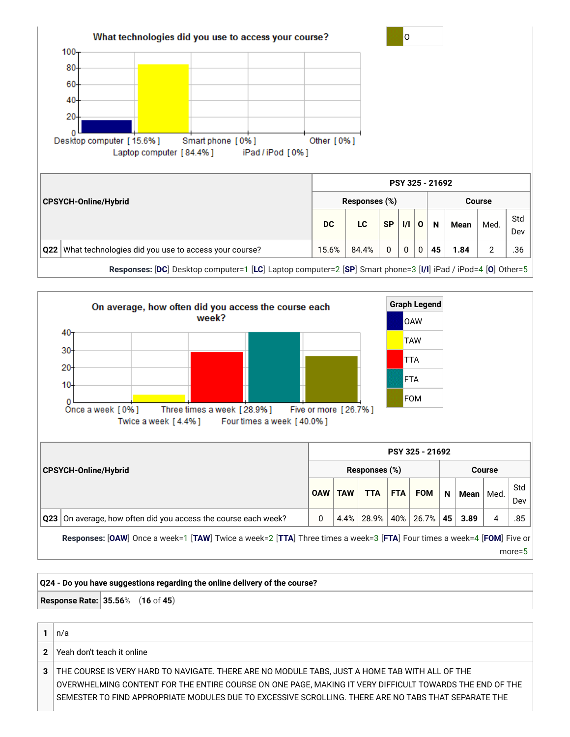



more=5

## **Q24 - Do you have suggestions regarding the online delivery of the course? Response Rate: 35.56**% (**16** of **45**) **1**  $\vert n/a \vert$

**2** Yeah don't teach it online **3** THE COURSE IS VERY HARD TO NAVIGATE. THERE ARE NO MODULE TABS, JUST A HOME TAB WITH ALL OF THE OVERWHELMING CONTENT FOR THE ENTIRE COURSE ON ONE PAGE, MAKING IT VERY DIFFICULT TOWARDS THE END OF THE SEMESTER TO FIND APPROPRIATE MODULES DUE TO EXCESSIVE SCROLLING. THERE ARE NO TABS THAT SEPARATE THE